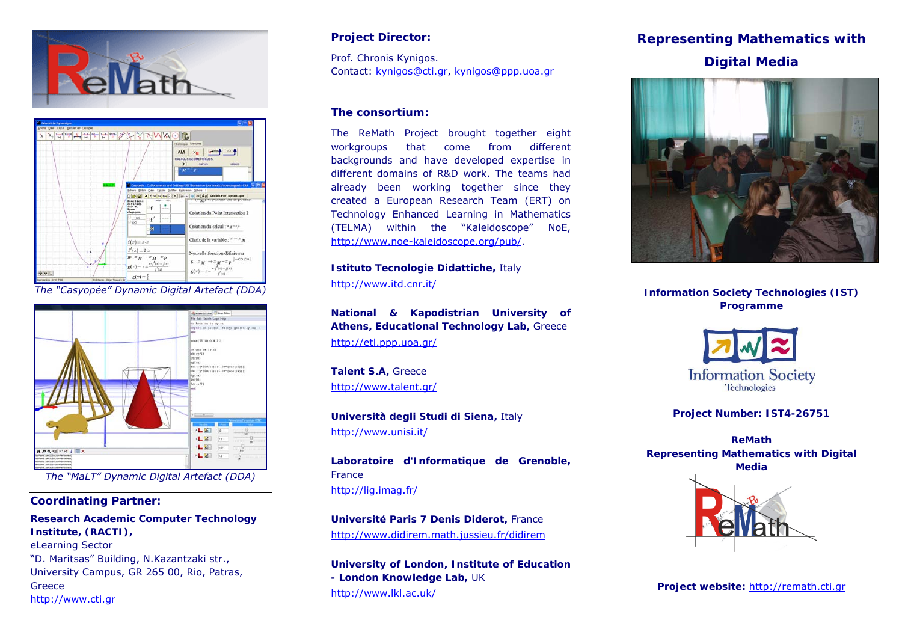



<http://www.itd.cnr.it/> *The "Casyopée" Dynamic Digital Artefact (DDA)* **Information Society Technologies (IST)** 



**The "MaLT" Dynamic Digital Artefact (DDA)** 

### **Coordinating Partner:**

**Research Academic Computer Technology Institute, (RACTI),**  eLearning Sector "D. Maritsas" Building, Ν.Κazantzaki str., **University of London, Institute of Education**  University Campus, GR 265 00, Rio, Patras, **Greece in the London Knowledge Lab**, UK Greece **Project website**: <u>[http://remath.cti.gr](http://remath.cti.gr/)</u> <http://www.lkl.ac.uk/> http://www.lkl.ac.uk/ http://www.lkl.ac.uk/ http://www.lkl.ac.uk/ h

Prof. Chronis Kynigos.<br>
Contact: kynigos@cti.gr, kynigos@ppp.uoa.gr<br>
Contact: kynigos@cti.gr, kynigos@ppp.uoa.gr

#### **The consortium:**

The ReMath Project brought together eight workgroups that come from different backgrounds and have developed expertise in different domains of R&D work. The teams had already been working together since they created a European Research Team (ERT) on Technology Enhanced Learning in Mathematics (TELMA) within the "Kaleidoscope" NoE, <http://www.noe-kaleidoscope.org/pub/>.

**Istituto Tecnologie Didattiche,** Italy

**Programme National & Kapodistrian University of Athens, Educational Technology Lab,** Greece <http://etl.ppp.uoa.gr/>

**Talent S.A,** Greece <http://www.talent.gr/>

**Università degli Studi di Siena, Italy Manuel According the Project Number: IST4-26751** <http://www.unisi.it/> **ReMath**

 **Laboratoire d'Informatique de Grenoble,**  <http://lig.imag.fr/>

**Université Paris 7 Denis Diderot,** France <http://www.didirem.math.jussieu.fr/didirem>

## **Project Director:** The **Representing Mathematics with**  $\blacksquare$





**Representing Mathematics with Digital Media**